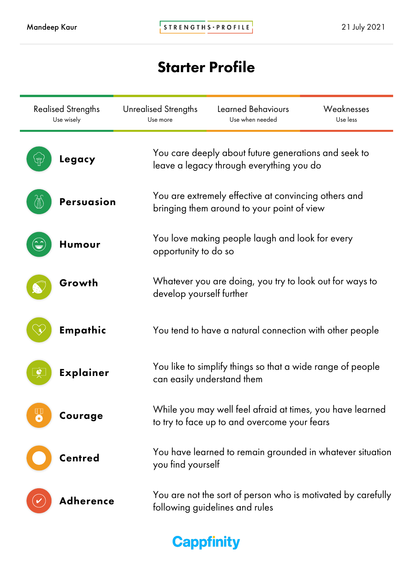# Starter Profile

| <b>Realised Strengths</b><br>Use wisely | <b>Unrealised Strengths</b><br>Use more                                                            | <b>Learned Behaviours</b><br>Use when needed                                                              | Weaknesses<br>Use less |  |  |  |
|-----------------------------------------|----------------------------------------------------------------------------------------------------|-----------------------------------------------------------------------------------------------------------|------------------------|--|--|--|
| Legacy                                  | You care deeply about future generations and seek to<br>leave a legacy through everything you do   |                                                                                                           |                        |  |  |  |
| <b>Persuasion</b>                       | You are extremely effective at convincing others and<br>bringing them around to your point of view |                                                                                                           |                        |  |  |  |
| Humour                                  | You love making people laugh and look for every<br>opportunity to do so                            |                                                                                                           |                        |  |  |  |
| Growth                                  | develop yourself further                                                                           | Whatever you are doing, you try to look out for ways to                                                   |                        |  |  |  |
| Empathic                                |                                                                                                    | You tend to have a natural connection with other people                                                   |                        |  |  |  |
| <b>Explainer</b><br>¢                   |                                                                                                    | You like to simplify things so that a wide range of people<br>can easily understand them                  |                        |  |  |  |
| mm.<br>Courage                          |                                                                                                    | While you may well feel afraid at times, you have learned<br>to try to face up to and overcome your fears |                        |  |  |  |
| Centred                                 | you find yourself                                                                                  | You have learned to remain grounded in whatever situation                                                 |                        |  |  |  |
| Adherence                               |                                                                                                    | You are not the sort of person who is motivated by carefully<br>following guidelines and rules            |                        |  |  |  |

**Cappfinity**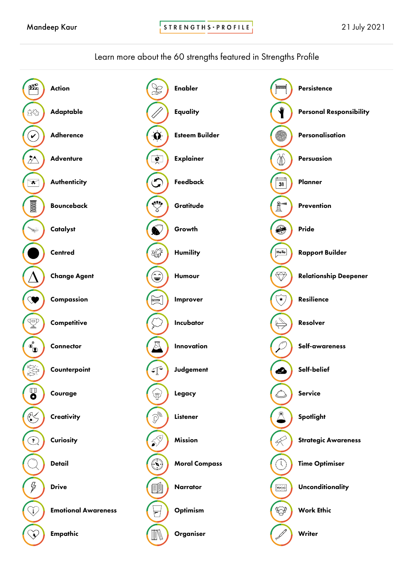STRENGTHS · PROFILE

### Learn more about the 60 strengths featured in Strengths Profile

| £                                                                                                                                                                                                                                                                                                                                                   | <b>Action</b>              |                                                                  | <b>Enabler</b>        | سسا                                                                                                                                                                                                                                                                                                                                                                                                                                                      | Persistence                    |
|-----------------------------------------------------------------------------------------------------------------------------------------------------------------------------------------------------------------------------------------------------------------------------------------------------------------------------------------------------|----------------------------|------------------------------------------------------------------|-----------------------|----------------------------------------------------------------------------------------------------------------------------------------------------------------------------------------------------------------------------------------------------------------------------------------------------------------------------------------------------------------------------------------------------------------------------------------------------------|--------------------------------|
| 23                                                                                                                                                                                                                                                                                                                                                  | Adaptable                  |                                                                  | <b>Equality</b>       | ∜                                                                                                                                                                                                                                                                                                                                                                                                                                                        | <b>Personal Responsibility</b> |
| $\checkmark$                                                                                                                                                                                                                                                                                                                                        | <b>Adherence</b>           | $\alpha$                                                         | <b>Esteem Builder</b> | 6                                                                                                                                                                                                                                                                                                                                                                                                                                                        | Personalisation                |
| $\bar{\wedge}$                                                                                                                                                                                                                                                                                                                                      | <b>Adventure</b>           | $\frac{1}{\lambda}$                                              | <b>Explainer</b>      | $\mathbb Z$                                                                                                                                                                                                                                                                                                                                                                                                                                              | Persuasion                     |
| $\overline{\mathbf{r}}$                                                                                                                                                                                                                                                                                                                             | <b>Authenticity</b>        | $\bm{\mathcal{G}}$                                               | Feedback              | $\overline{31}$                                                                                                                                                                                                                                                                                                                                                                                                                                          | Planner                        |
| $\text{100000}$                                                                                                                                                                                                                                                                                                                                     | <b>Bounceback</b>          | <b>BUSE</b>                                                      | Gratitude             | $\frac{\hat{\mathbf{g}}}{\hat{\mathbf{g}}}$                                                                                                                                                                                                                                                                                                                                                                                                              | Prevention                     |
| $\mathcal{D}$                                                                                                                                                                                                                                                                                                                                       | Catalyst                   | $\bullet$                                                        | Growth                | ⊜                                                                                                                                                                                                                                                                                                                                                                                                                                                        | Pride                          |
|                                                                                                                                                                                                                                                                                                                                                     | <b>Centred</b>             | XQF                                                              | <b>Humility</b>       | Hello                                                                                                                                                                                                                                                                                                                                                                                                                                                    | <b>Rapport Builder</b>         |
|                                                                                                                                                                                                                                                                                                                                                     | <b>Change Agent</b>        | $\hat{\mathbf{e}}$                                               | Humour                | $\bigotimes$                                                                                                                                                                                                                                                                                                                                                                                                                                             | <b>Relationship Deepener</b>   |
| V                                                                                                                                                                                                                                                                                                                                                   | Compassion                 | $\mathbb{R}$                                                     | Improver              | $\widetilde{\mathcal{F}}$                                                                                                                                                                                                                                                                                                                                                                                                                                | Resilience                     |
| $\mathbb{F}$                                                                                                                                                                                                                                                                                                                                        | Competitive                |                                                                  | Incubator             | $\overleftrightarrow{\leftarrow}$                                                                                                                                                                                                                                                                                                                                                                                                                        | Resolver                       |
| $\bullet$                                                                                                                                                                                                                                                                                                                                           | Connector                  | ्रा                                                              | Innovation            |                                                                                                                                                                                                                                                                                                                                                                                                                                                          | Self-awareness                 |
| U.N.                                                                                                                                                                                                                                                                                                                                                | Counterpoint               | $\mathbb{C}^{\mathbb{C}}$                                        | Judgement             | ☎                                                                                                                                                                                                                                                                                                                                                                                                                                                        | Self-belief                    |
| 0                                                                                                                                                                                                                                                                                                                                                   | Courage                    | Ÿ                                                                | Legacy                |                                                                                                                                                                                                                                                                                                                                                                                                                                                          | <b>Service</b>                 |
| $\begin{picture}(180,10) \put(0,0){\line(1,0){15}} \put(10,0){\line(1,0){15}} \put(10,0){\line(1,0){15}} \put(10,0){\line(1,0){15}} \put(10,0){\line(1,0){15}} \put(10,0){\line(1,0){15}} \put(10,0){\line(1,0){15}} \put(10,0){\line(1,0){15}} \put(10,0){\line(1,0){15}} \put(10,0){\line(1,0){15}} \put(10,0){\line(1,0){15}} \put(10,0){\line($ | Creativity                 | $\cdot$ $\mathbb{S}_{\mathbb{Z}}$                                | Listener              |                                                                                                                                                                                                                                                                                                                                                                                                                                                          | Spotlight                      |
| $\left[ \color{red} \bullet \right]$                                                                                                                                                                                                                                                                                                                | <b>Curiosity</b>           | $\mathbf{S}^{\mathcal{S}}$                                       | <b>Mission</b>        | $\oint$                                                                                                                                                                                                                                                                                                                                                                                                                                                  | <b>Strategic Awareness</b>     |
|                                                                                                                                                                                                                                                                                                                                                     | <b>Detail</b>              | $\begin{pmatrix} \ddot{\bullet} \\ \ddot{\bullet} \end{pmatrix}$ | <b>Moral Compass</b>  | $\left( \left\vert \cdot \right\vert \right)$                                                                                                                                                                                                                                                                                                                                                                                                            | <b>Time Optimiser</b>          |
| $\not\!\!\!Z$                                                                                                                                                                                                                                                                                                                                       | <b>Drive</b>               | e1                                                               | Narrator              | $\begin{tabular}{ c c } \hline \multicolumn{3}{ c }{Wekome} \\\hline \multicolumn{3}{ c }{Wekome} \\\hline \multicolumn{3}{ c }{Wekome} \\\hline \multicolumn{3}{ c }{Wekome} \\\hline \multicolumn{3}{ c }{Wekome} \\\hline \multicolumn{3}{ c }{Wekome} \\\hline \multicolumn{3}{ c }{Wekome} \\\hline \multicolumn{3}{ c }{Wekome} \\\hline \multicolumn{3}{ c }{Wekome} \\\hline \multicolumn{3}{ c }{Wekome} \\\hline \multicolumn{3}{ c }{Wekome}$ | Unconditionality               |
| j,                                                                                                                                                                                                                                                                                                                                                  | <b>Emotional Awareness</b> | F                                                                | Optimism              | Ģ                                                                                                                                                                                                                                                                                                                                                                                                                                                        | <b>Work Ethic</b>              |
| $\check{\mathbb{V}}$                                                                                                                                                                                                                                                                                                                                | Empathic                   | M                                                                | Organiser             |                                                                                                                                                                                                                                                                                                                                                                                                                                                          | Writer                         |